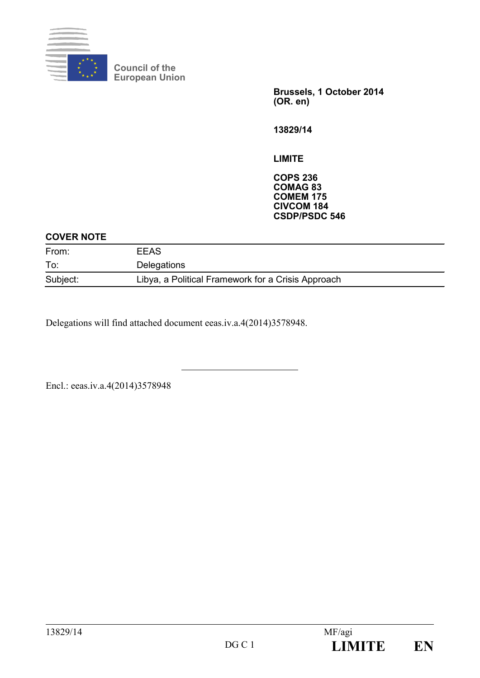

**Council of the European Union**

> **Brussels, 1 October 2014 (OR. en)**

**13829/14**

**LIMITE**

**COPS 236 COMAG 83 COMEM 175 CIVCOM 184 CSDP/PSDC 546**

### **COVER NOTE**

| From:    | <b>EEAS</b>                                        |
|----------|----------------------------------------------------|
| To:      | Delegations                                        |
| Subject: | Libya, a Political Framework for a Crisis Approach |

Delegations will find attached document eeas.iv.a.4(2014)3578948.

Encl.: eeas.iv.a.4(2014)3578948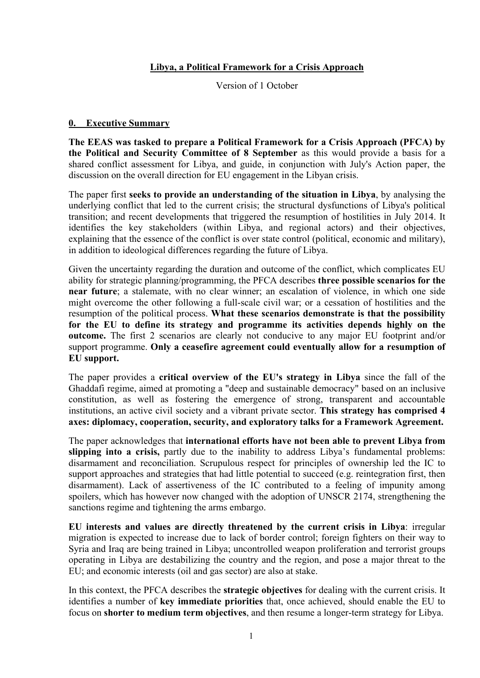#### **Libya, a Political Framework for a Crisis Approach**

Version of 1 October

#### **0. Executive Summary**

**The EEAS was tasked to prepare a Political Framework for a Crisis Approach (PFCA) by the Political and Security Committee of 8 September** as this would provide a basis for a shared conflict assessment for Libya, and guide, in conjunction with July's Action paper, the discussion on the overall direction for EU engagement in the Libyan crisis.

The paper first **seeks to provide an understanding of the situation in Libya**, by analysing the underlying conflict that led to the current crisis; the structural dysfunctions of Libya's political transition; and recent developments that triggered the resumption of hostilities in July 2014. It identifies the key stakeholders (within Libya, and regional actors) and their objectives, explaining that the essence of the conflict is over state control (political, economic and military), in addition to ideological differences regarding the future of Libya.

Given the uncertainty regarding the duration and outcome of the conflict, which complicates EU ability for strategic planning/programming, the PFCA describes **three possible scenarios for the near future**; a stalemate, with no clear winner; an escalation of violence, in which one side might overcome the other following a full-scale civil war; or a cessation of hostilities and the resumption of the political process. **What these scenarios demonstrate is that the possibility for the EU to define its strategy and programme its activities depends highly on the outcome.** The first 2 scenarios are clearly not conducive to any major EU footprint and/or support programme. **Only a ceasefire agreement could eventually allow for a resumption of EU support.**

The paper provides a **critical overview of the EU's strategy in Libya** since the fall of the Ghaddafi regime, aimed at promoting a "deep and sustainable democracy" based on an inclusive constitution, as well as fostering the emergence of strong, transparent and accountable institutions, an active civil society and a vibrant private sector. **This strategy has comprised 4 axes: diplomacy, cooperation, security, and exploratory talks for a Framework Agreement.**

The paper acknowledges that **international efforts have not been able to prevent Libya from slipping into a crisis,** partly due to the inability to address Libya's fundamental problems: disarmament and reconciliation. Scrupulous respect for principles of ownership led the IC to support approaches and strategies that had little potential to succeed (e.g. reintegration first, then disarmament). Lack of assertiveness of the IC contributed to a feeling of impunity among spoilers, which has however now changed with the adoption of UNSCR 2174, strengthening the sanctions regime and tightening the arms embargo.

**EU interests and values are directly threatened by the current crisis in Libya**: irregular migration is expected to increase due to lack of border control; foreign fighters on their way to Syria and Iraq are being trained in Libya; uncontrolled weapon proliferation and terrorist groups operating in Libya are destabilizing the country and the region, and pose a major threat to the EU; and economic interests (oil and gas sector) are also at stake.

In this context, the PFCA describes the **strategic objectives** for dealing with the current crisis. It identifies a number of **key immediate priorities** that, once achieved, should enable the EU to focus on **shorter to medium term objectives**, and then resume a longer-term strategy for Libya.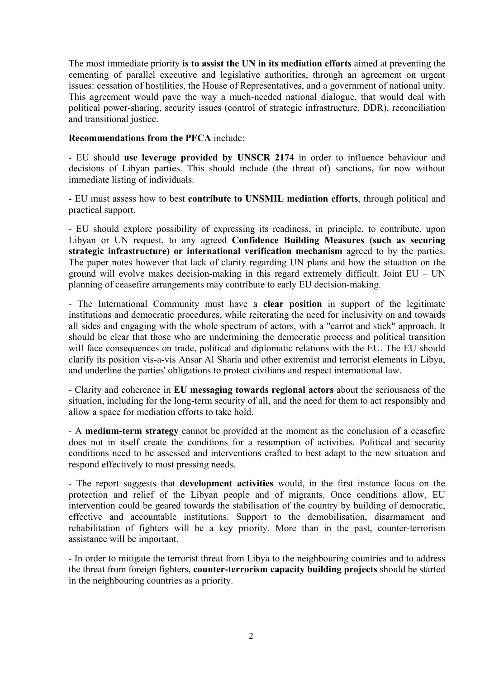The most immediate priority **is to assist the UN in its mediation efforts** aimed at preventing the cementing of parallel executive and legislative authorities, through an agreement on urgent issues: cessation of hostilities, the House of Representatives, and a government of national unity. This agreement would pave the way a much-needed national dialogue, that would deal with political power-sharing, security issues (control of strategic infrastructure, DDR), reconciliation and transitional justice.

#### **Recommendations from the PFCA** include:

- EU should **use leverage provided by UNSCR 2174** in order to influence behaviour and decisions of Libyan parties. This should include (the threat of) sanctions, for now without immediate listing of individuals.

- EU must assess how to best **contribute to UNSMIL mediation efforts**, through political and practical support.

- EU should explore possibility of expressing its readiness, in principle, to contribute, upon Libyan or UN request, to any agreed **Confidence Building Measures (such as securing strategic infrastructure) or international verification mechanism** agreed to by the parties. The paper notes however that lack of clarity regarding UN plans and how the situation on the ground will evolve makes decision-making in this regard extremely difficult. Joint  $EU - UN$ planning of ceasefire arrangements may contribute to early EU decision-making.

- The International Community must have a **clear position** in support of the legitimate institutions and democratic procedures, while reiterating the need for inclusivity on and towards all sides and engaging with the whole spectrum of actors, with a "carrot and stick" approach. It should be clear that those who are undermining the democratic process and political transition will face consequences on trade, political and diplomatic relations with the EU. The EU should clarify its position vis-a-vis Ansar Al Sharia and other extremist and terrorist elements in Libya, and underline the parties' obligations to protect civilians and respect international law.

- Clarity and coherence in **EU messaging towards regional actors** about the seriousness of the situation, including for the long-term security of all, and the need for them to act responsibly and allow a space for mediation efforts to take hold.

- A **medium-term strategy** cannot be provided at the moment as the conclusion of a ceasefire does not in itself create the conditions for a resumption of activities. Political and security conditions need to be assessed and interventions crafted to best adapt to the new situation and respond effectively to most pressing needs.

- The report suggests that **development activities** would, in the first instance focus on the protection and relief of the Libyan people and of migrants. Once conditions allow, EU intervention could be geared towards the stabilisation of the country by building of democratic, effective and accountable institutions. Support to the demobilisation, disarmament and rehabilitation of fighters will be a key priority. More than in the past, counter-terrorism assistance will be important.

- In order to mitigate the terrorist threat from Libya to the neighbouring countries and to address the threat from foreign fighters, **counter-terrorism capacity building projects** should be started in the neighbouring countries as a priority.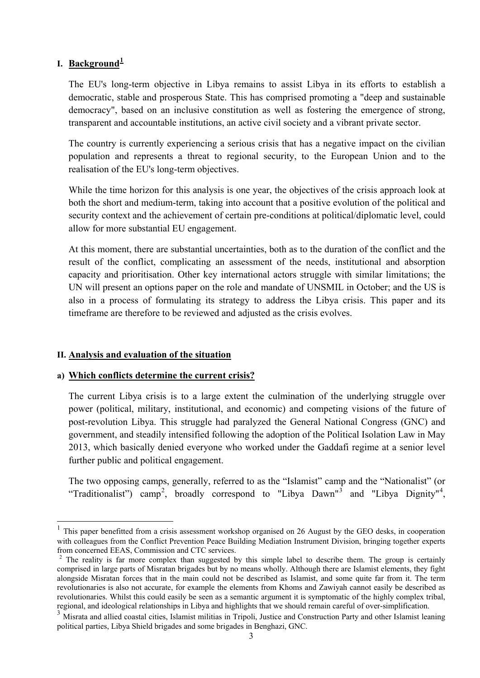### **I. Background[1](#page-3-0)**

The EU's long-term objective in Libya remains to assist Libya in its efforts to establish a democratic, stable and prosperous State. This has comprised promoting a "deep and sustainable democracy", based on an inclusive constitution as well as fostering the emergence of strong, transparent and accountable institutions, an active civil society and a vibrant private sector.

The country is currently experiencing a serious crisis that has a negative impact on the civilian population and represents a threat to regional security, to the European Union and to the realisation of the EU's long-term objectives.

While the time horizon for this analysis is one year, the objectives of the crisis approach look at both the short and medium-term, taking into account that a positive evolution of the political and security context and the achievement of certain pre-conditions at political/diplomatic level, could allow for more substantial EU engagement.

At this moment, there are substantial uncertainties, both as to the duration of the conflict and the result of the conflict, complicating an assessment of the needs, institutional and absorption capacity and prioritisation. Other key international actors struggle with similar limitations; the UN will present an options paper on the role and mandate of UNSMIL in October; and the US is also in a process of formulating its strategy to address the Libya crisis. This paper and its timeframe are therefore to be reviewed and adjusted as the crisis evolves.

### **II. Analysis and evaluation of the situation**

**.** 

### **a) Which conflicts determine the current crisis?**

The current Libya crisis is to a large extent the culmination of the underlying struggle over power (political, military, institutional, and economic) and competing visions of the future of post-revolution Libya. This struggle had paralyzed the General National Congress (GNC) and government, and steadily intensified following the adoption of the Political Isolation Law in May 2013, which basically denied everyone who worked under the Gaddafi regime at a senior level further public and political engagement.

The two opposing camps, generally, referred to as the "Islamist" camp and the "Nationalist" (or "Traditionalist") camp<sup>[2](#page-3-1)</sup>, broadly correspond to "Libya Dawn"<sup>[3](#page-3-2)</sup> and "Libya Dignity"<sup>[4](#page-3-3)</sup>,

<span id="page-3-0"></span><sup>1</sup> This paper benefitted from a crisis assessment workshop organised on 26 August by the GEO desks, in cooperation with colleagues from the Conflict Prevention Peace Building Mediation Instrument Division, bringing together experts from concerned EEAS, Commission and CTC services.

<span id="page-3-1"></span><sup>&</sup>lt;sup>2</sup> The reality is far more complex than suggested by this simple label to describe them. The group is certainly comprised in large parts of Misratan brigades but by no means wholly. Although there are Islamist elements, they fight alongside Misratan forces that in the main could not be described as Islamist, and some quite far from it. The term revolutionaries is also not accurate, for example the elements from Khoms and Zawiyah cannot easily be described as revolutionaries. Whilst this could easily be seen as a semantic argument it is symptomatic of the highly complex tribal, regional, and ideological relationships in Libya and highlights that we should remain careful of over-simplification.

<span id="page-3-3"></span><span id="page-3-2"></span><sup>&</sup>lt;sup>3</sup> Misrata and allied coastal cities, Islamist militias in Tripoli, Justice and Construction Party and other Islamist leaning political parties, Libya Shield brigades and some brigades in Benghazi, GNC.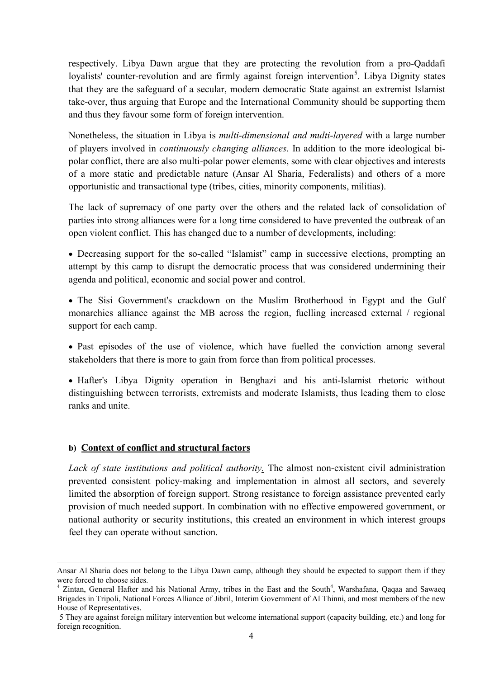respectively. Libya Dawn argue that they are protecting the revolution from a pro-Qaddafi loyalists' counter-revolution and are firmly against foreign intervention<sup>[5](#page-4-0)</sup>. Libya Dignity states that they are the safeguard of a secular, modern democratic State against an extremist Islamist take-over, thus arguing that Europe and the International Community should be supporting them and thus they favour some form of foreign intervention.

Nonetheless, the situation in Libya is *multi-dimensional and multi-layered* with a large number of players involved in *continuously changing alliances*. In addition to the more ideological bipolar conflict, there are also multi-polar power elements, some with clear objectives and interests of a more static and predictable nature (Ansar Al Sharia, Federalists) and others of a more opportunistic and transactional type (tribes, cities, minority components, militias).

The lack of supremacy of one party over the others and the related lack of consolidation of parties into strong alliances were for a long time considered to have prevented the outbreak of an open violent conflict. This has changed due to a number of developments, including:

• Decreasing support for the so-called "Islamist" camp in successive elections, prompting an attempt by this camp to disrupt the democratic process that was considered undermining their agenda and political, economic and social power and control.

• The Sisi Government's crackdown on the Muslim Brotherhood in Egypt and the Gulf monarchies alliance against the MB across the region, fuelling increased external / regional support for each camp.

• Past episodes of the use of violence, which have fuelled the conviction among several stakeholders that there is more to gain from force than from political processes.

• Hafter's Libya Dignity operation in Benghazi and his anti-Islamist rhetoric without distinguishing between terrorists, extremists and moderate Islamists, thus leading them to close ranks and unite.

### **b) Context of conflict and structural factors**

**.** 

*Lack of state institutions and political authority.* The almost non-existent civil administration prevented consistent policy-making and implementation in almost all sectors, and severely limited the absorption of foreign support. Strong resistance to foreign assistance prevented early provision of much needed support. In combination with no effective empowered government, or national authority or security institutions, this created an environment in which interest groups feel they can operate without sanction.

Ansar Al Sharia does not belong to the Libya Dawn camp, although they should be expected to support them if they were forced to choose sides.

<sup>&</sup>lt;sup>4</sup> Zintan, General Hafter and his National Army, tribes in the East and the South<sup>4</sup>, Warshafana, Qaqaa and Sawaeq Brigades in Tripoli, National Forces Alliance of Jibril, Interim Government of Al Thinni, and most members of the new House of Representatives.

<span id="page-4-0"></span><sup>5</sup> They are against foreign military intervention but welcome international support (capacity building, etc.) and long for foreign recognition.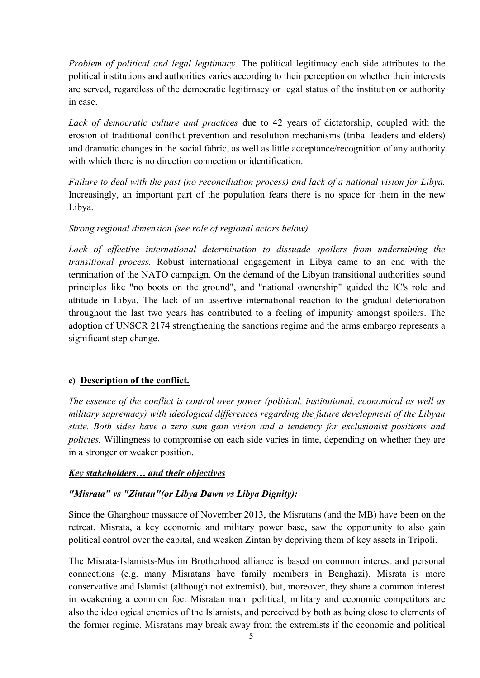*Problem of political and legal legitimacy.* The political legitimacy each side attributes to the political institutions and authorities varies according to their perception on whether their interests are served, regardless of the democratic legitimacy or legal status of the institution or authority in case.

*Lack of democratic culture and practices* due to 42 years of dictatorship, coupled with the erosion of traditional conflict prevention and resolution mechanisms (tribal leaders and elders) and dramatic changes in the social fabric, as well as little acceptance/recognition of any authority with which there is no direction connection or identification.

*Failure to deal with the past (no reconciliation process) and lack of a national vision for Libya.* Increasingly, an important part of the population fears there is no space for them in the new Libya.

### *Strong regional dimension (see role of regional actors below).*

Lack of effective international determination to dissuade spoilers from undermining the *transitional process.* Robust international engagement in Libya came to an end with the termination of the NATO campaign. On the demand of the Libyan transitional authorities sound principles like "no boots on the ground", and "national ownership" guided the IC's role and attitude in Libya. The lack of an assertive international reaction to the gradual deterioration throughout the last two years has contributed to a feeling of impunity amongst spoilers. The adoption of UNSCR 2174 strengthening the sanctions regime and the arms embargo represents a significant step change.

### **c) Description of the conflict.**

*The essence of the conflict is control over power (political, institutional, economical as well as military supremacy) with ideological differences regarding the future development of the Libyan state. Both sides have a zero sum gain vision and a tendency for exclusionist positions and policies.* Willingness to compromise on each side varies in time, depending on whether they are in a stronger or weaker position.

### *Key stakeholders… and their objectives*

# *"Misrata" vs "Zintan"(or Libya Dawn vs Libya Dignity):*

Since the Gharghour massacre of November 2013, the Misratans (and the MB) have been on the retreat. Misrata, a key economic and military power base, saw the opportunity to also gain political control over the capital, and weaken Zintan by depriving them of key assets in Tripoli.

The Misrata-Islamists-Muslim Brotherhood alliance is based on common interest and personal connections (e.g. many Misratans have family members in Benghazi). Misrata is more conservative and Islamist (although not extremist), but, moreover, they share a common interest in weakening a common foe: Misratan main political, military and economic competitors are also the ideological enemies of the Islamists, and perceived by both as being close to elements of the former regime. Misratans may break away from the extremists if the economic and political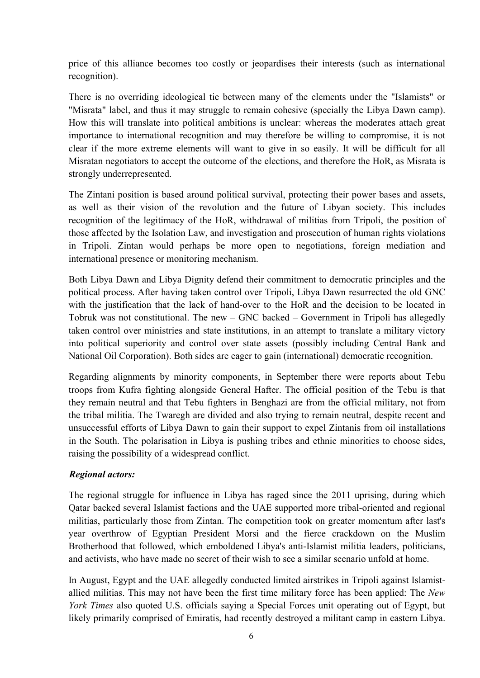price of this alliance becomes too costly or jeopardises their interests (such as international recognition).

There is no overriding ideological tie between many of the elements under the "Islamists" or "Misrata" label, and thus it may struggle to remain cohesive (specially the Libya Dawn camp). How this will translate into political ambitions is unclear: whereas the moderates attach great importance to international recognition and may therefore be willing to compromise, it is not clear if the more extreme elements will want to give in so easily. It will be difficult for all Misratan negotiators to accept the outcome of the elections, and therefore the HoR, as Misrata is strongly underrepresented.

The Zintani position is based around political survival, protecting their power bases and assets, as well as their vision of the revolution and the future of Libyan society. This includes recognition of the legitimacy of the HoR, withdrawal of militias from Tripoli, the position of those affected by the Isolation Law, and investigation and prosecution of human rights violations in Tripoli. Zintan would perhaps be more open to negotiations, foreign mediation and international presence or monitoring mechanism.

Both Libya Dawn and Libya Dignity defend their commitment to democratic principles and the political process. After having taken control over Tripoli, Libya Dawn resurrected the old GNC with the justification that the lack of hand-over to the HoR and the decision to be located in Tobruk was not constitutional. The new – GNC backed – Government in Tripoli has allegedly taken control over ministries and state institutions, in an attempt to translate a military victory into political superiority and control over state assets (possibly including Central Bank and National Oil Corporation). Both sides are eager to gain (international) democratic recognition.

Regarding alignments by minority components, in September there were reports about Tebu troops from Kufra fighting alongside General Hafter. The official position of the Tebu is that they remain neutral and that Tebu fighters in Benghazi are from the official military, not from the tribal militia. The Twaregh are divided and also trying to remain neutral, despite recent and unsuccessful efforts of Libya Dawn to gain their support to expel Zintanis from oil installations in the South. The polarisation in Libya is pushing tribes and ethnic minorities to choose sides, raising the possibility of a widespread conflict.

# *Regional actors:*

The regional struggle for influence in Libya has raged since the 2011 uprising, during which Qatar backed several Islamist factions and the UAE supported more tribal-oriented and regional militias, particularly those from Zintan. The competition took on greater momentum after last's year overthrow of Egyptian President Morsi and the fierce crackdown on the Muslim Brotherhood that followed, which emboldened Libya's anti-Islamist militia leaders, politicians, and activists, who have made no secret of their wish to see a similar scenario unfold at home.

In August, Egypt and the UAE allegedly conducted limited airstrikes in Tripoli against Islamistallied militias. This may not have been the first time military force has been applied: The *New York Times* also quoted U.S. officials saying a Special Forces unit operating out of Egypt, but likely primarily comprised of Emiratis, had recently destroyed a militant camp in eastern Libya.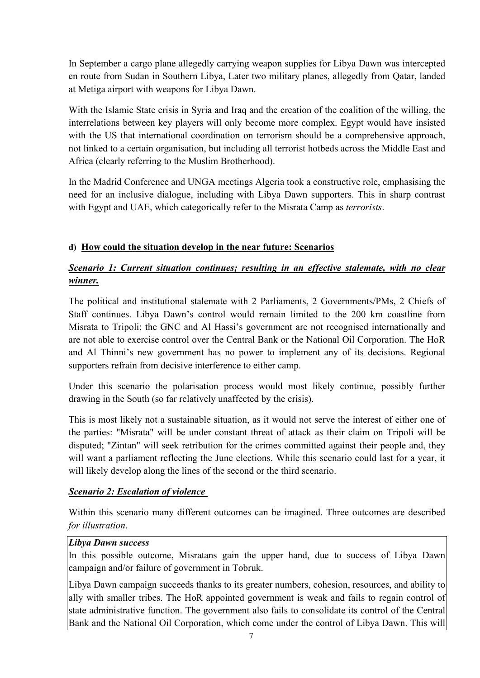In September a cargo plane allegedly carrying weapon supplies for Libya Dawn was intercepted en route from Sudan in Southern Libya, Later two military planes, allegedly from Qatar, landed at Metiga airport with weapons for Libya Dawn.

With the Islamic State crisis in Syria and Iraq and the creation of the coalition of the willing, the interrelations between key players will only become more complex. Egypt would have insisted with the US that international coordination on terrorism should be a comprehensive approach, not linked to a certain organisation, but including all terrorist hotbeds across the Middle East and Africa (clearly referring to the Muslim Brotherhood).

In the Madrid Conference and UNGA meetings Algeria took a constructive role, emphasising the need for an inclusive dialogue, including with Libya Dawn supporters. This in sharp contrast with Egypt and UAE, which categorically refer to the Misrata Camp as *terrorists*.

# **d) How could the situation develop in the near future: Scenarios**

# *Scenario 1: Current situation continues; resulting in an effective stalemate, with no clear winner.*

The political and institutional stalemate with 2 Parliaments, 2 Governments/PMs, 2 Chiefs of Staff continues. Libya Dawn's control would remain limited to the 200 km coastline from Misrata to Tripoli; the GNC and Al Hassi's government are not recognised internationally and are not able to exercise control over the Central Bank or the National Oil Corporation. The HoR and Al Thinni's new government has no power to implement any of its decisions. Regional supporters refrain from decisive interference to either camp.

Under this scenario the polarisation process would most likely continue, possibly further drawing in the South (so far relatively unaffected by the crisis).

This is most likely not a sustainable situation, as it would not serve the interest of either one of the parties: "Misrata" will be under constant threat of attack as their claim on Tripoli will be disputed; "Zintan" will seek retribution for the crimes committed against their people and, they will want a parliament reflecting the June elections. While this scenario could last for a year, it will likely develop along the lines of the second or the third scenario.

# *Scenario 2: Escalation of violence*

Within this scenario many different outcomes can be imagined. Three outcomes are described *for illustration*.

# *Libya Dawn success*

In this possible outcome, Misratans gain the upper hand, due to success of Libya Dawn campaign and/or failure of government in Tobruk.

Libya Dawn campaign succeeds thanks to its greater numbers, cohesion, resources, and ability to ally with smaller tribes. The HoR appointed government is weak and fails to regain control of state administrative function. The government also fails to consolidate its control of the Central Bank and the National Oil Corporation, which come under the control of Libya Dawn. This will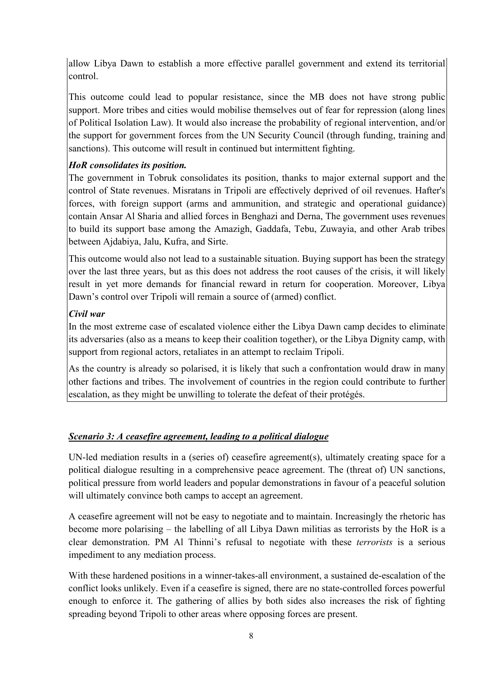allow Libya Dawn to establish a more effective parallel government and extend its territorial control.

This outcome could lead to popular resistance, since the MB does not have strong public support. More tribes and cities would mobilise themselves out of fear for repression (along lines of Political Isolation Law). It would also increase the probability of regional intervention, and/or the support for government forces from the UN Security Council (through funding, training and sanctions). This outcome will result in continued but intermittent fighting.

# *HoR consolidates its position.*

The government in Tobruk consolidates its position, thanks to major external support and the control of State revenues. Misratans in Tripoli are effectively deprived of oil revenues. Hafter's forces, with foreign support (arms and ammunition, and strategic and operational guidance) contain Ansar Al Sharia and allied forces in Benghazi and Derna, The government uses revenues to build its support base among the Amazigh, Gaddafa, Tebu, Zuwayia, and other Arab tribes between Ajdabiya, Jalu, Kufra, and Sirte.

This outcome would also not lead to a sustainable situation. Buying support has been the strategy over the last three years, but as this does not address the root causes of the crisis, it will likely result in yet more demands for financial reward in return for cooperation. Moreover, Libya Dawn's control over Tripoli will remain a source of (armed) conflict.

### *Civil war*

In the most extreme case of escalated violence either the Libya Dawn camp decides to eliminate its adversaries (also as a means to keep their coalition together), or the Libya Dignity camp, with support from regional actors, retaliates in an attempt to reclaim Tripoli.

As the country is already so polarised, it is likely that such a confrontation would draw in many other factions and tribes. The involvement of countries in the region could contribute to further escalation, as they might be unwilling to tolerate the defeat of their protégés.

# *Scenario 3: A ceasefire agreement, leading to a political dialogue*

UN-led mediation results in a (series of) ceasefire agreement(s), ultimately creating space for a political dialogue resulting in a comprehensive peace agreement. The (threat of) UN sanctions, political pressure from world leaders and popular demonstrations in favour of a peaceful solution will ultimately convince both camps to accept an agreement.

A ceasefire agreement will not be easy to negotiate and to maintain. Increasingly the rhetoric has become more polarising – the labelling of all Libya Dawn militias as terrorists by the HoR is a clear demonstration. PM Al Thinni's refusal to negotiate with these *terrorists* is a serious impediment to any mediation process.

With these hardened positions in a winner-takes-all environment, a sustained de-escalation of the conflict looks unlikely. Even if a ceasefire is signed, there are no state-controlled forces powerful enough to enforce it. The gathering of allies by both sides also increases the risk of fighting spreading beyond Tripoli to other areas where opposing forces are present.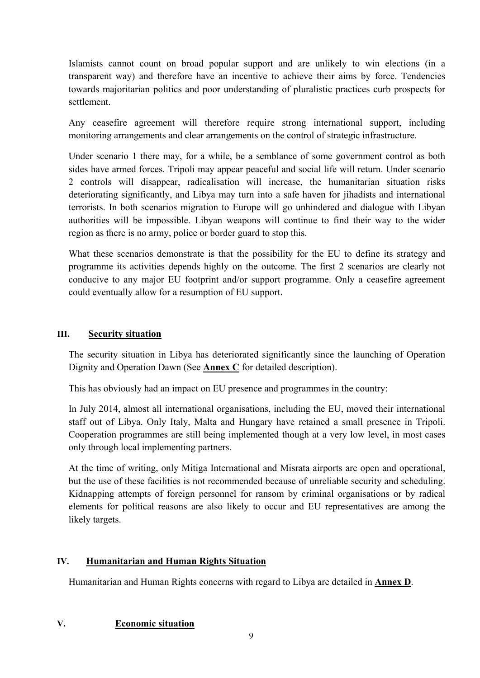Islamists cannot count on broad popular support and are unlikely to win elections (in a transparent way) and therefore have an incentive to achieve their aims by force. Tendencies towards majoritarian politics and poor understanding of pluralistic practices curb prospects for settlement.

Any ceasefire agreement will therefore require strong international support, including monitoring arrangements and clear arrangements on the control of strategic infrastructure.

Under scenario 1 there may, for a while, be a semblance of some government control as both sides have armed forces. Tripoli may appear peaceful and social life will return. Under scenario 2 controls will disappear, radicalisation will increase, the humanitarian situation risks deteriorating significantly, and Libya may turn into a safe haven for jihadists and international terrorists. In both scenarios migration to Europe will go unhindered and dialogue with Libyan authorities will be impossible. Libyan weapons will continue to find their way to the wider region as there is no army, police or border guard to stop this.

What these scenarios demonstrate is that the possibility for the EU to define its strategy and programme its activities depends highly on the outcome. The first 2 scenarios are clearly not conducive to any major EU footprint and/or support programme. Only a ceasefire agreement could eventually allow for a resumption of EU support.

### **III. Security situation**

The security situation in Libya has deteriorated significantly since the launching of Operation Dignity and Operation Dawn (See **Annex C** for detailed description).

This has obviously had an impact on EU presence and programmes in the country:

In July 2014, almost all international organisations, including the EU, moved their international staff out of Libya. Only Italy, Malta and Hungary have retained a small presence in Tripoli. Cooperation programmes are still being implemented though at a very low level, in most cases only through local implementing partners.

At the time of writing, only Mitiga International and Misrata airports are open and operational, but the use of these facilities is not recommended because of unreliable security and scheduling. Kidnapping attempts of foreign personnel for ransom by criminal organisations or by radical elements for political reasons are also likely to occur and EU representatives are among the likely targets.

# **IV. Humanitarian and Human Rights Situation**

Humanitarian and Human Rights concerns with regard to Libya are detailed in **Annex D**.

### **V. Economic situation**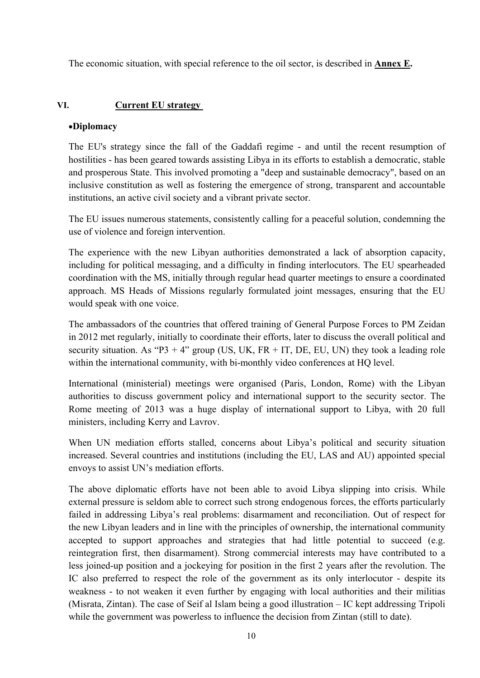The economic situation, with special reference to the oil sector, is described in **Annex E.**

### **VI. Current EU strategy**

#### •**Diplomacy**

The EU's strategy since the fall of the Gaddafi regime - and until the recent resumption of hostilities - has been geared towards assisting Libya in its efforts to establish a democratic, stable and prosperous State. This involved promoting a "deep and sustainable democracy", based on an inclusive constitution as well as fostering the emergence of strong, transparent and accountable institutions, an active civil society and a vibrant private sector.

The EU issues numerous statements, consistently calling for a peaceful solution, condemning the use of violence and foreign intervention.

The experience with the new Libyan authorities demonstrated a lack of absorption capacity, including for political messaging, and a difficulty in finding interlocutors. The EU spearheaded coordination with the MS, initially through regular head quarter meetings to ensure a coordinated approach. MS Heads of Missions regularly formulated joint messages, ensuring that the EU would speak with one voice.

The ambassadors of the countries that offered training of General Purpose Forces to PM Zeidan in 2012 met regularly, initially to coordinate their efforts, later to discuss the overall political and security situation. As "P3 + 4" group (US, UK,  $FR + IT$ , DE, EU, UN) they took a leading role within the international community, with bi-monthly video conferences at HQ level.

International (ministerial) meetings were organised (Paris, London, Rome) with the Libyan authorities to discuss government policy and international support to the security sector. The Rome meeting of 2013 was a huge display of international support to Libya, with 20 full ministers, including Kerry and Lavrov.

When UN mediation efforts stalled, concerns about Libya's political and security situation increased. Several countries and institutions (including the EU, LAS and AU) appointed special envoys to assist UN's mediation efforts.

The above diplomatic efforts have not been able to avoid Libya slipping into crisis. While external pressure is seldom able to correct such strong endogenous forces, the efforts particularly failed in addressing Libya's real problems: disarmament and reconciliation. Out of respect for the new Libyan leaders and in line with the principles of ownership, the international community accepted to support approaches and strategies that had little potential to succeed (e.g. reintegration first, then disarmament). Strong commercial interests may have contributed to a less joined-up position and a jockeying for position in the first 2 years after the revolution. The IC also preferred to respect the role of the government as its only interlocutor - despite its weakness - to not weaken it even further by engaging with local authorities and their militias (Misrata, Zintan). The case of Seif al Islam being a good illustration – IC kept addressing Tripoli while the government was powerless to influence the decision from Zintan (still to date).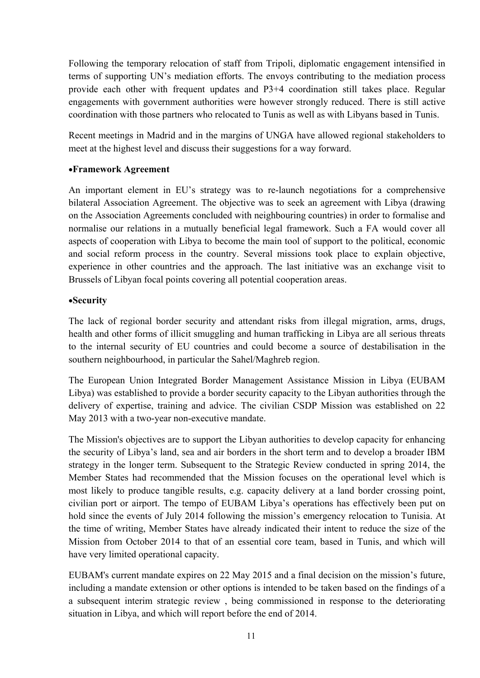Following the temporary relocation of staff from Tripoli, diplomatic engagement intensified in terms of supporting UN's mediation efforts. The envoys contributing to the mediation process provide each other with frequent updates and P3+4 coordination still takes place. Regular engagements with government authorities were however strongly reduced. There is still active coordination with those partners who relocated to Tunis as well as with Libyans based in Tunis.

Recent meetings in Madrid and in the margins of UNGA have allowed regional stakeholders to meet at the highest level and discuss their suggestions for a way forward.

### •**Framework Agreement**

An important element in EU's strategy was to re-launch negotiations for a comprehensive bilateral Association Agreement. The objective was to seek an agreement with Libya (drawing on the Association Agreements concluded with neighbouring countries) in order to formalise and normalise our relations in a mutually beneficial legal framework. Such a FA would cover all aspects of cooperation with Libya to become the main tool of support to the political, economic and social reform process in the country. Several missions took place to explain objective, experience in other countries and the approach. The last initiative was an exchange visit to Brussels of Libyan focal points covering all potential cooperation areas.

### •**Security**

The lack of regional border security and attendant risks from illegal migration, arms, drugs, health and other forms of illicit smuggling and human trafficking in Libya are all serious threats to the internal security of EU countries and could become a source of destabilisation in the southern neighbourhood, in particular the Sahel/Maghreb region.

The European Union Integrated Border Management Assistance Mission in Libya (EUBAM Libya) was established to provide a border security capacity to the Libyan authorities through the delivery of expertise, training and advice. The civilian CSDP Mission was established on 22 May 2013 with a two-year non-executive mandate.

The Mission's objectives are to support the Libyan authorities to develop capacity for enhancing the security of Libya's land, sea and air borders in the short term and to develop a broader IBM strategy in the longer term. Subsequent to the Strategic Review conducted in spring 2014, the Member States had recommended that the Mission focuses on the operational level which is most likely to produce tangible results, e.g. capacity delivery at a land border crossing point, civilian port or airport. The tempo of EUBAM Libya's operations has effectively been put on hold since the events of July 2014 following the mission's emergency relocation to Tunisia. At the time of writing, Member States have already indicated their intent to reduce the size of the Mission from October 2014 to that of an essential core team, based in Tunis, and which will have very limited operational capacity.

EUBAM's current mandate expires on 22 May 2015 and a final decision on the mission's future, including a mandate extension or other options is intended to be taken based on the findings of a a subsequent interim strategic review , being commissioned in response to the deteriorating situation in Libya, and which will report before the end of 2014.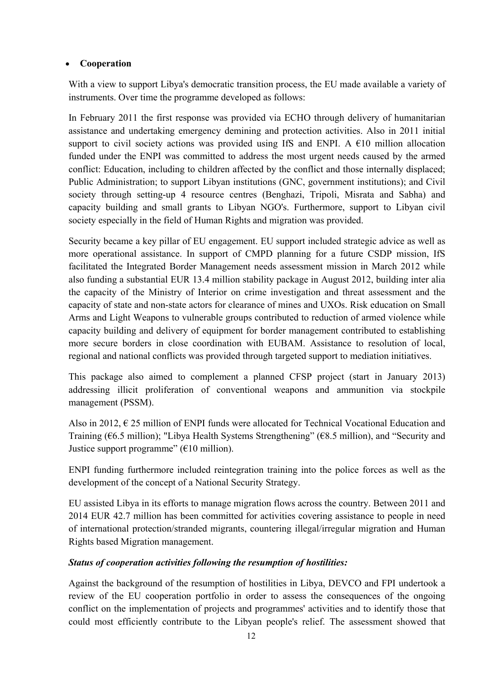### • **Cooperation**

With a view to support Libya's democratic transition process, the EU made available a variety of instruments. Over time the programme developed as follows:

In February 2011 the first response was provided via ECHO through delivery of humanitarian assistance and undertaking emergency demining and protection activities. Also in 2011 initial support to civil society actions was provided using IfS and ENPI. A  $E10$  million allocation funded under the ENPI was committed to address the most urgent needs caused by the armed conflict: Education, including to children affected by the conflict and those internally displaced; Public Administration; to support Libyan institutions (GNC, government institutions); and Civil society through setting-up 4 resource centres (Benghazi, Tripoli, Misrata and Sabha) and capacity building and small grants to Libyan NGO's. Furthermore, support to Libyan civil society especially in the field of Human Rights and migration was provided.

Security became a key pillar of EU engagement. EU support included strategic advice as well as more operational assistance. In support of CMPD planning for a future CSDP mission, IfS facilitated the Integrated Border Management needs assessment mission in March 2012 while also funding a substantial EUR 13.4 million stability package in August 2012, building inter alia the capacity of the Ministry of Interior on crime investigation and threat assessment and the capacity of state and non-state actors for clearance of mines and UXOs. Risk education on Small Arms and Light Weapons to vulnerable groups contributed to reduction of armed violence while capacity building and delivery of equipment for border management contributed to establishing more secure borders in close coordination with EUBAM. Assistance to resolution of local, regional and national conflicts was provided through targeted support to mediation initiatives.

This package also aimed to complement a planned CFSP project (start in January 2013) addressing illicit proliferation of conventional weapons and ammunition via stockpile management (PSSM).

Also in 2012,  $\epsilon$  25 million of ENPI funds were allocated for Technical Vocational Education and Training (€6.5 million); "Libya Health Systems Strengthening" (€8.5 million), and "Security and Justice support programme" ( $€10$  million).

ENPI funding furthermore included reintegration training into the police forces as well as the development of the concept of a National Security Strategy.

EU assisted Libya in its efforts to manage migration flows across the country. Between 2011 and 2014 EUR 42.7 million has been committed for activities covering assistance to people in need of international protection/stranded migrants, countering illegal/irregular migration and Human Rights based Migration management.

# *Status of cooperation activities following the resumption of hostilities:*

Against the background of the resumption of hostilities in Libya, DEVCO and FPI undertook a review of the EU cooperation portfolio in order to assess the consequences of the ongoing conflict on the implementation of projects and programmes' activities and to identify those that could most efficiently contribute to the Libyan people's relief. The assessment showed that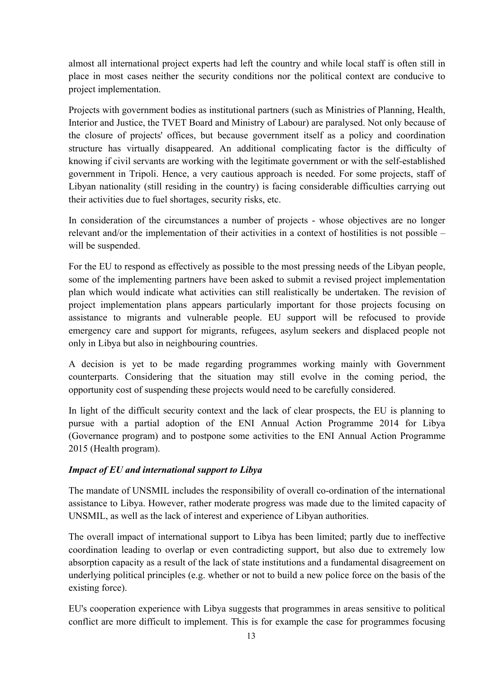almost all international project experts had left the country and while local staff is often still in place in most cases neither the security conditions nor the political context are conducive to project implementation.

Projects with government bodies as institutional partners (such as Ministries of Planning, Health, Interior and Justice, the TVET Board and Ministry of Labour) are paralysed. Not only because of the closure of projects' offices, but because government itself as a policy and coordination structure has virtually disappeared. An additional complicating factor is the difficulty of knowing if civil servants are working with the legitimate government or with the self-established government in Tripoli. Hence, a very cautious approach is needed. For some projects, staff of Libyan nationality (still residing in the country) is facing considerable difficulties carrying out their activities due to fuel shortages, security risks, etc.

In consideration of the circumstances a number of projects - whose objectives are no longer relevant and/or the implementation of their activities in a context of hostilities is not possible – will be suspended.

For the EU to respond as effectively as possible to the most pressing needs of the Libyan people, some of the implementing partners have been asked to submit a revised project implementation plan which would indicate what activities can still realistically be undertaken. The revision of project implementation plans appears particularly important for those projects focusing on assistance to migrants and vulnerable people. EU support will be refocused to provide emergency care and support for migrants, refugees, asylum seekers and displaced people not only in Libya but also in neighbouring countries.

A decision is yet to be made regarding programmes working mainly with Government counterparts. Considering that the situation may still evolve in the coming period, the opportunity cost of suspending these projects would need to be carefully considered.

In light of the difficult security context and the lack of clear prospects, the EU is planning to pursue with a partial adoption of the ENI Annual Action Programme 2014 for Libya (Governance program) and to postpone some activities to the ENI Annual Action Programme 2015 (Health program).

### *Impact of EU and international support to Libya*

The mandate of UNSMIL includes the responsibility of overall co-ordination of the international assistance to Libya. However, rather moderate progress was made due to the limited capacity of UNSMIL, as well as the lack of interest and experience of Libyan authorities.

The overall impact of international support to Libya has been limited; partly due to ineffective coordination leading to overlap or even contradicting support, but also due to extremely low absorption capacity as a result of the lack of state institutions and a fundamental disagreement on underlying political principles (e.g. whether or not to build a new police force on the basis of the existing force).

EU's cooperation experience with Libya suggests that programmes in areas sensitive to political conflict are more difficult to implement. This is for example the case for programmes focusing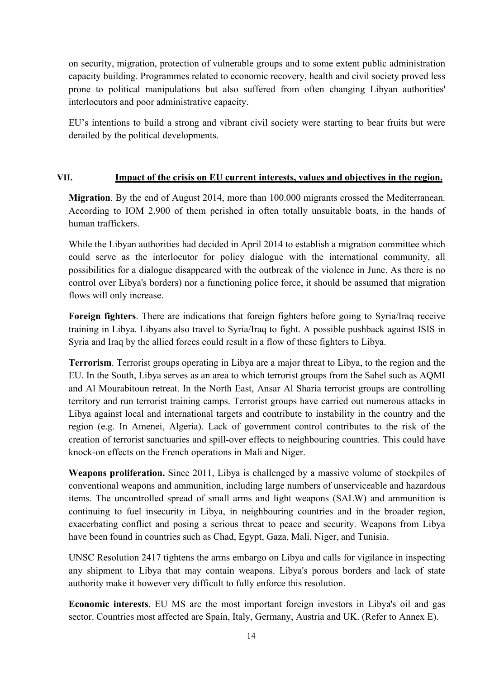on security, migration, protection of vulnerable groups and to some extent public administration capacity building. Programmes related to economic recovery, health and civil society proved less prone to political manipulations but also suffered from often changing Libyan authorities' interlocutors and poor administrative capacity.

EU's intentions to build a strong and vibrant civil society were starting to bear fruits but were derailed by the political developments.

#### **VII. Impact of the crisis on EU current interests, values and objectives in the region.**

**Migration**. By the end of August 2014, more than 100.000 migrants crossed the Mediterranean. According to IOM 2.900 of them perished in often totally unsuitable boats, in the hands of human traffickers.

While the Libyan authorities had decided in April 2014 to establish a migration committee which could serve as the interlocutor for policy dialogue with the international community, all possibilities for a dialogue disappeared with the outbreak of the violence in June. As there is no control over Libya's borders) nor a functioning police force, it should be assumed that migration flows will only increase.

**Foreign fighters**. There are indications that foreign fighters before going to Syria/Iraq receive training in Libya. Libyans also travel to Syria/Iraq to fight. A possible pushback against ISIS in Syria and Iraq by the allied forces could result in a flow of these fighters to Libya.

**Terrorism**. Terrorist groups operating in Libya are a major threat to Libya, to the region and the EU. In the South, Libya serves as an area to which terrorist groups from the Sahel such as AQMI and Al Mourabitoun retreat. In the North East, Ansar Al Sharia terrorist groups are controlling territory and run terrorist training camps. Terrorist groups have carried out numerous attacks in Libya against local and international targets and contribute to instability in the country and the region (e.g. In Amenei, Algeria). Lack of government control contributes to the risk of the creation of terrorist sanctuaries and spill-over effects to neighbouring countries. This could have knock-on effects on the French operations in Mali and Niger.

**Weapons proliferation.** Since 2011, Libya is challenged by a massive volume of stockpiles of conventional weapons and ammunition, including large numbers of unserviceable and hazardous items. The uncontrolled spread of small arms and light weapons (SALW) and ammunition is continuing to fuel insecurity in Libya, in neighbouring countries and in the broader region, exacerbating conflict and posing a serious threat to peace and security. Weapons from Libya have been found in countries such as Chad, Egypt, Gaza, Mali, Niger, and Tunisia.

UNSC Resolution 2417 tightens the arms embargo on Libya and calls for vigilance in inspecting any shipment to Libya that may contain weapons. Libya's porous borders and lack of state authority make it however very difficult to fully enforce this resolution.

**Economic interests**. EU MS are the most important foreign investors in Libya's oil and gas sector. Countries most affected are Spain, Italy, Germany, Austria and UK. (Refer to Annex E).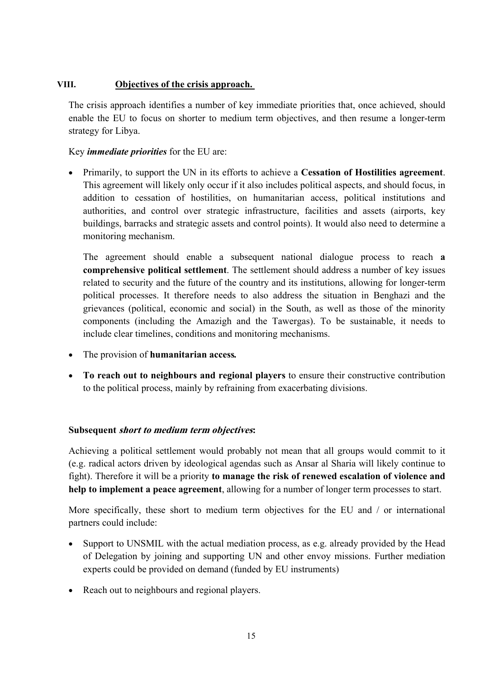### **VIII. Objectives of the crisis approach.**

The crisis approach identifies a number of key immediate priorities that, once achieved, should enable the EU to focus on shorter to medium term objectives, and then resume a longer-term strategy for Libya.

Key *immediate priorities* for the EU are:

• Primarily, to support the UN in its efforts to achieve a **Cessation of Hostilities agreement**. This agreement will likely only occur if it also includes political aspects, and should focus, in addition to cessation of hostilities, on humanitarian access, political institutions and authorities, and control over strategic infrastructure, facilities and assets (airports, key buildings, barracks and strategic assets and control points). It would also need to determine a monitoring mechanism.

The agreement should enable a subsequent national dialogue process to reach **a comprehensive political settlement**. The settlement should address a number of key issues related to security and the future of the country and its institutions, allowing for longer-term political processes. It therefore needs to also address the situation in Benghazi and the grievances (political, economic and social) in the South, as well as those of the minority components (including the Amazigh and the Tawergas). To be sustainable, it needs to include clear timelines, conditions and monitoring mechanisms.

- The provision of **humanitarian access***.*
- **To reach out to neighbours and regional players** to ensure their constructive contribution to the political process, mainly by refraining from exacerbating divisions.

### **Subsequent short to medium term objectives:**

Achieving a political settlement would probably not mean that all groups would commit to it (e.g. radical actors driven by ideological agendas such as Ansar al Sharia will likely continue to fight). Therefore it will be a priority **to manage the risk of renewed escalation of violence and help to implement a peace agreement**, allowing for a number of longer term processes to start.

More specifically, these short to medium term objectives for the EU and / or international partners could include:

- Support to UNSMIL with the actual mediation process, as e.g. already provided by the Head of Delegation by joining and supporting UN and other envoy missions. Further mediation experts could be provided on demand (funded by EU instruments)
- Reach out to neighbours and regional players.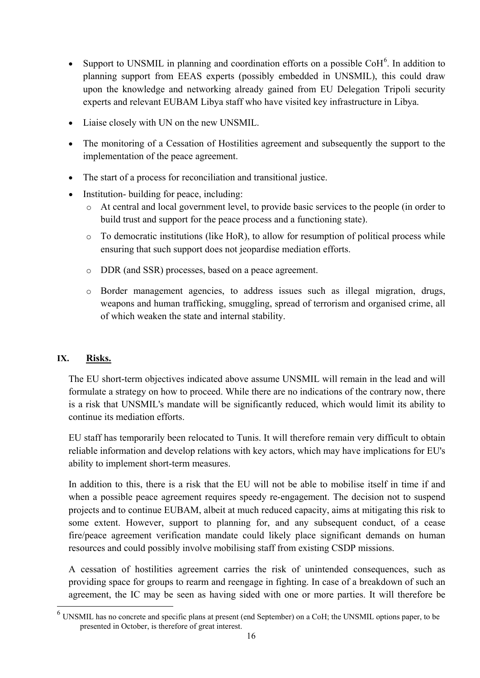- Support to UNSMIL in planning and coordination efforts on a possible  $\text{CoH}^6$  $\text{CoH}^6$ . In addition to planning support from EEAS experts (possibly embedded in UNSMIL), this could draw upon the knowledge and networking already gained from EU Delegation Tripoli security experts and relevant EUBAM Libya staff who have visited key infrastructure in Libya.
- Liaise closely with UN on the new UNSMIL.
- The monitoring of a Cessation of Hostilities agreement and subsequently the support to the implementation of the peace agreement.
- The start of a process for reconciliation and transitional justice.
- Institution- building for peace, including:
	- o At central and local government level, to provide basic services to the people (in order to build trust and support for the peace process and a functioning state).
	- $\circ$  To democratic institutions (like HoR), to allow for resumption of political process while ensuring that such support does not jeopardise mediation efforts.
	- o DDR (and SSR) processes, based on a peace agreement.
	- o Border management agencies, to address issues such as illegal migration, drugs, weapons and human trafficking, smuggling, spread of terrorism and organised crime, all of which weaken the state and internal stability.

# **IX. Risks.**

**.** 

The EU short-term objectives indicated above assume UNSMIL will remain in the lead and will formulate a strategy on how to proceed. While there are no indications of the contrary now, there is a risk that UNSMIL's mandate will be significantly reduced, which would limit its ability to continue its mediation efforts.

EU staff has temporarily been relocated to Tunis. It will therefore remain very difficult to obtain reliable information and develop relations with key actors, which may have implications for EU's ability to implement short-term measures.

In addition to this, there is a risk that the EU will not be able to mobilise itself in time if and when a possible peace agreement requires speedy re-engagement. The decision not to suspend projects and to continue EUBAM, albeit at much reduced capacity, aims at mitigating this risk to some extent. However, support to planning for, and any subsequent conduct, of a cease fire/peace agreement verification mandate could likely place significant demands on human resources and could possibly involve mobilising staff from existing CSDP missions.

A cessation of hostilities agreement carries the risk of unintended consequences, such as providing space for groups to rearm and reengage in fighting. In case of a breakdown of such an agreement, the IC may be seen as having sided with one or more parties. It will therefore be

<span id="page-16-0"></span> $<sup>6</sup>$  UNSMIL has no concrete and specific plans at present (end September) on a CoH; the UNSMIL options paper, to be</sup> presented in October, is therefore of great interest.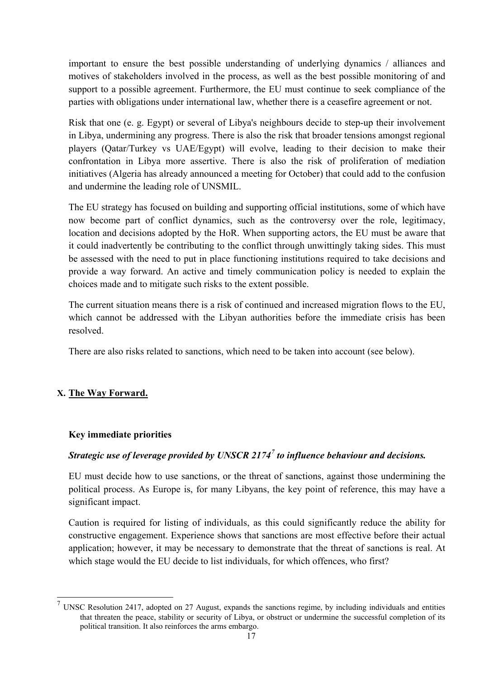important to ensure the best possible understanding of underlying dynamics / alliances and motives of stakeholders involved in the process, as well as the best possible monitoring of and support to a possible agreement. Furthermore, the EU must continue to seek compliance of the parties with obligations under international law, whether there is a ceasefire agreement or not.

Risk that one (e. g. Egypt) or several of Libya's neighbours decide to step-up their involvement in Libya, undermining any progress. There is also the risk that broader tensions amongst regional players (Qatar/Turkey vs UAE/Egypt) will evolve, leading to their decision to make their confrontation in Libya more assertive. There is also the risk of proliferation of mediation initiatives (Algeria has already announced a meeting for October) that could add to the confusion and undermine the leading role of UNSMIL.

The EU strategy has focused on building and supporting official institutions, some of which have now become part of conflict dynamics, such as the controversy over the role, legitimacy, location and decisions adopted by the HoR. When supporting actors, the EU must be aware that it could inadvertently be contributing to the conflict through unwittingly taking sides. This must be assessed with the need to put in place functioning institutions required to take decisions and provide a way forward. An active and timely communication policy is needed to explain the choices made and to mitigate such risks to the extent possible.

The current situation means there is a risk of continued and increased migration flows to the EU, which cannot be addressed with the Libyan authorities before the immediate crisis has been resolved.

There are also risks related to sanctions, which need to be taken into account (see below).

# **X. The Way Forward.**

**.** 

# **Key immediate priorities**

# *Strategic use of leverage provided by UNSCR 2174[7](#page-17-0) to influence behaviour and decisions.*

EU must decide how to use sanctions, or the threat of sanctions, against those undermining the political process. As Europe is, for many Libyans, the key point of reference, this may have a significant impact.

Caution is required for listing of individuals, as this could significantly reduce the ability for constructive engagement. Experience shows that sanctions are most effective before their actual application; however, it may be necessary to demonstrate that the threat of sanctions is real. At which stage would the EU decide to list individuals, for which offences, who first?

<span id="page-17-0"></span><sup>&</sup>lt;sup>7</sup> UNSC Resolution 2417, adopted on 27 August, expands the sanctions regime, by including individuals and entities that threaten the peace, stability or security of Libya, or obstruct or undermine the successful completion of its political transition. It also reinforces the arms embargo.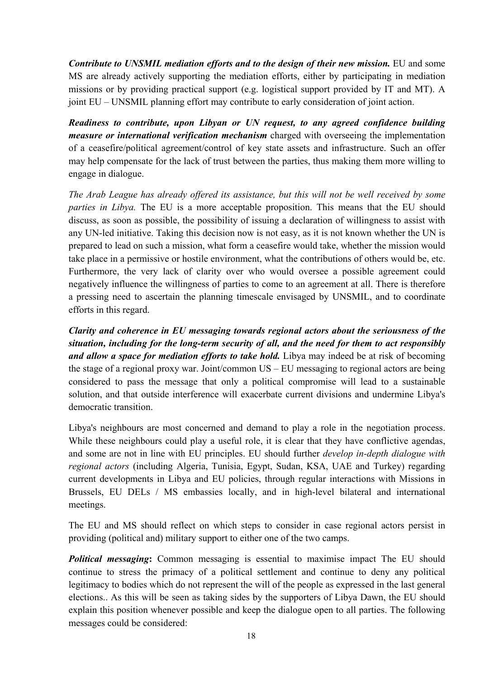*Contribute to UNSMIL mediation efforts and to the design of their new mission.* EU and some MS are already actively supporting the mediation efforts, either by participating in mediation missions or by providing practical support (e.g. logistical support provided by IT and MT). A joint EU – UNSMIL planning effort may contribute to early consideration of joint action.

*Readiness to contribute, upon Libyan or UN request, to any agreed confidence building measure or international verification mechanism* charged with overseeing the implementation of a ceasefire/political agreement/control of key state assets and infrastructure. Such an offer may help compensate for the lack of trust between the parties, thus making them more willing to engage in dialogue.

*The Arab League has already offered its assistance, but this will not be well received by some parties in Libya.* The EU is a more acceptable proposition. This means that the EU should discuss, as soon as possible, the possibility of issuing a declaration of willingness to assist with any UN-led initiative. Taking this decision now is not easy, as it is not known whether the UN is prepared to lead on such a mission, what form a ceasefire would take, whether the mission would take place in a permissive or hostile environment, what the contributions of others would be, etc. Furthermore, the very lack of clarity over who would oversee a possible agreement could negatively influence the willingness of parties to come to an agreement at all. There is therefore a pressing need to ascertain the planning timescale envisaged by UNSMIL, and to coordinate efforts in this regard.

*Clarity and coherence in EU messaging towards regional actors about the seriousness of the situation, including for the long-term security of all, and the need for them to act responsibly and allow a space for mediation efforts to take hold.* Libya may indeed be at risk of becoming the stage of a regional proxy war. Joint/common US – EU messaging to regional actors are being considered to pass the message that only a political compromise will lead to a sustainable solution, and that outside interference will exacerbate current divisions and undermine Libya's democratic transition.

Libya's neighbours are most concerned and demand to play a role in the negotiation process. While these neighbours could play a useful role, it is clear that they have conflictive agendas, and some are not in line with EU principles. EU should further *develop in-depth dialogue with regional actors* (including Algeria, Tunisia, Egypt, Sudan, KSA, UAE and Turkey) regarding current developments in Libya and EU policies, through regular interactions with Missions in Brussels, EU DELs / MS embassies locally, and in high-level bilateral and international meetings.

The EU and MS should reflect on which steps to consider in case regional actors persist in providing (political and) military support to either one of the two camps.

**Political messaging:** Common messaging is essential to maximise impact The EU should continue to stress the primacy of a political settlement and continue to deny any political legitimacy to bodies which do not represent the will of the people as expressed in the last general elections.. As this will be seen as taking sides by the supporters of Libya Dawn, the EU should explain this position whenever possible and keep the dialogue open to all parties. The following messages could be considered: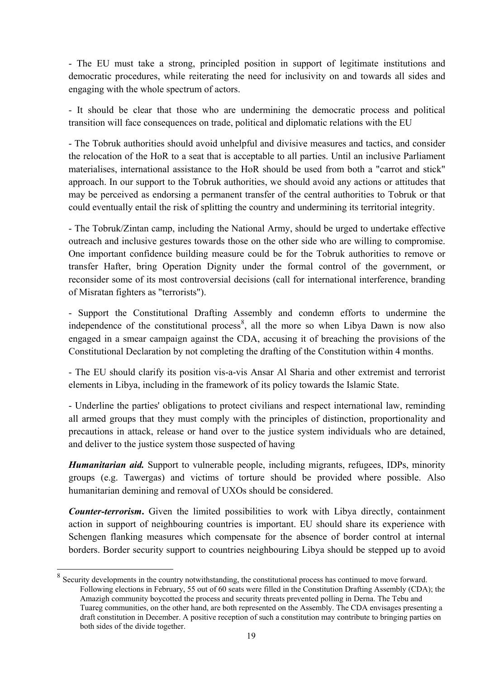- The EU must take a strong, principled position in support of legitimate institutions and democratic procedures, while reiterating the need for inclusivity on and towards all sides and engaging with the whole spectrum of actors.

- It should be clear that those who are undermining the democratic process and political transition will face consequences on trade, political and diplomatic relations with the EU

- The Tobruk authorities should avoid unhelpful and divisive measures and tactics, and consider the relocation of the HoR to a seat that is acceptable to all parties. Until an inclusive Parliament materialises, international assistance to the HoR should be used from both a "carrot and stick" approach. In our support to the Tobruk authorities, we should avoid any actions or attitudes that may be perceived as endorsing a permanent transfer of the central authorities to Tobruk or that could eventually entail the risk of splitting the country and undermining its territorial integrity.

- The Tobruk/Zintan camp, including the National Army, should be urged to undertake effective outreach and inclusive gestures towards those on the other side who are willing to compromise. One important confidence building measure could be for the Tobruk authorities to remove or transfer Hafter, bring Operation Dignity under the formal control of the government, or reconsider some of its most controversial decisions (call for international interference, branding of Misratan fighters as "terrorists").

- Support the Constitutional Drafting Assembly and condemn efforts to undermine the independence of the constitutional process<sup>[8](#page-19-0)</sup>, all the more so when Libya Dawn is now also engaged in a smear campaign against the CDA, accusing it of breaching the provisions of the Constitutional Declaration by not completing the drafting of the Constitution within 4 months.

- The EU should clarify its position vis-a-vis Ansar Al Sharia and other extremist and terrorist elements in Libya, including in the framework of its policy towards the Islamic State.

- Underline the parties' obligations to protect civilians and respect international law, reminding all armed groups that they must comply with the principles of distinction, proportionality and precautions in attack, release or hand over to the justice system individuals who are detained, and deliver to the justice system those suspected of having

*Humanitarian aid.* Support to vulnerable people, including migrants, refugees, IDPs, minority groups (e.g. Tawergas) and victims of torture should be provided where possible. Also humanitarian demining and removal of UXOs should be considered.

*Counter-terrorism***.** Given the limited possibilities to work with Libya directly, containment action in support of neighbouring countries is important. EU should share its experience with Schengen flanking measures which compensate for the absence of border control at internal borders. Border security support to countries neighbouring Libya should be stepped up to avoid

**.** 

<span id="page-19-0"></span>Security developments in the country notwithstanding, the constitutional process has continued to move forward. Following elections in February, 55 out of 60 seats were filled in the Constitution Drafting Assembly (CDA); the Amazigh community boycotted the process and security threats prevented polling in Derna. The Tebu and Tuareg communities, on the other hand, are both represented on the Assembly. The CDA envisages presenting a draft constitution in December. A positive reception of such a constitution may contribute to bringing parties on both sides of the divide together.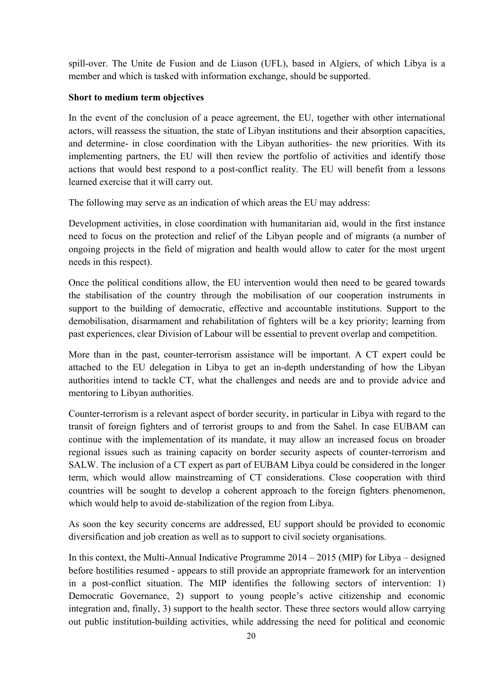spill-over. The Unite de Fusion and de Liason (UFL), based in Algiers, of which Libya is a member and which is tasked with information exchange, should be supported.

### **Short to medium term objectives**

In the event of the conclusion of a peace agreement, the EU, together with other international actors, will reassess the situation, the state of Libyan institutions and their absorption capacities, and determine- in close coordination with the Libyan authorities- the new priorities. With its implementing partners, the EU will then review the portfolio of activities and identify those actions that would best respond to a post-conflict reality. The EU will benefit from a lessons learned exercise that it will carry out.

The following may serve as an indication of which areas the EU may address:

Development activities, in close coordination with humanitarian aid, would in the first instance need to focus on the protection and relief of the Libyan people and of migrants (a number of ongoing projects in the field of migration and health would allow to cater for the most urgent needs in this respect).

Once the political conditions allow, the EU intervention would then need to be geared towards the stabilisation of the country through the mobilisation of our cooperation instruments in support to the building of democratic, effective and accountable institutions. Support to the demobilisation, disarmament and rehabilitation of fighters will be a key priority; learning from past experiences, clear Division of Labour will be essential to prevent overlap and competition.

More than in the past, counter-terrorism assistance will be important. A CT expert could be attached to the EU delegation in Libya to get an in-depth understanding of how the Libyan authorities intend to tackle CT, what the challenges and needs are and to provide advice and mentoring to Libyan authorities.

Counter-terrorism is a relevant aspect of border security, in particular in Libya with regard to the transit of foreign fighters and of terrorist groups to and from the Sahel. In case EUBAM can continue with the implementation of its mandate, it may allow an increased focus on broader regional issues such as training capacity on border security aspects of counter-terrorism and SALW. The inclusion of a CT expert as part of EUBAM Libya could be considered in the longer term, which would allow mainstreaming of CT considerations. Close cooperation with third countries will be sought to develop a coherent approach to the foreign fighters phenomenon, which would help to avoid de-stabilization of the region from Libya.

As soon the key security concerns are addressed, EU support should be provided to economic diversification and job creation as well as to support to civil society organisations.

In this context, the Multi-Annual Indicative Programme 2014 – 2015 (MIP) for Libya – designed before hostilities resumed - appears to still provide an appropriate framework for an intervention in a post-conflict situation. The MIP identifies the following sectors of intervention: 1) Democratic Governance, 2) support to young people's active citizenship and economic integration and, finally, 3) support to the health sector. These three sectors would allow carrying out public institution-building activities, while addressing the need for political and economic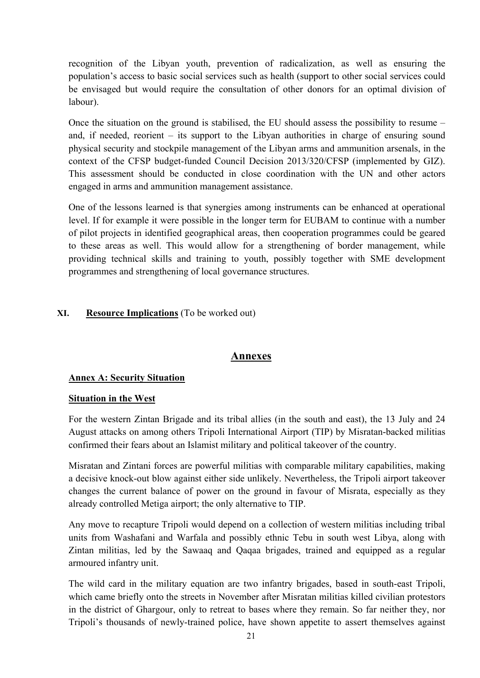recognition of the Libyan youth, prevention of radicalization, as well as ensuring the population's access to basic social services such as health (support to other social services could be envisaged but would require the consultation of other donors for an optimal division of labour).

Once the situation on the ground is stabilised, the EU should assess the possibility to resume – and, if needed, reorient – its support to the Libyan authorities in charge of ensuring sound physical security and stockpile management of the Libyan arms and ammunition arsenals, in the context of the CFSP budget-funded Council Decision 2013/320/CFSP (implemented by GIZ). This assessment should be conducted in close coordination with the UN and other actors engaged in arms and ammunition management assistance.

One of the lessons learned is that synergies among instruments can be enhanced at operational level. If for example it were possible in the longer term for EUBAM to continue with a number of pilot projects in identified geographical areas, then cooperation programmes could be geared to these areas as well. This would allow for a strengthening of border management, while providing technical skills and training to youth, possibly together with SME development programmes and strengthening of local governance structures.

### **XI. Resource Implications** (To be worked out)

# **Annexes**

### **Annex A: Security Situation**

### **Situation in the West**

For the western Zintan Brigade and its tribal allies (in the south and east), the 13 July and 24 August attacks on among others Tripoli International Airport (TIP) by Misratan-backed militias confirmed their fears about an Islamist military and political takeover of the country.

Misratan and Zintani forces are powerful militias with comparable military capabilities, making a decisive knock-out blow against either side unlikely. Nevertheless, the Tripoli airport takeover changes the current balance of power on the ground in favour of Misrata, especially as they already controlled Metiga airport; the only alternative to TIP.

Any move to recapture Tripoli would depend on a collection of western militias including tribal units from Washafani and Warfala and possibly ethnic Tebu in south west Libya, along with Zintan militias, led by the Sawaaq and Qaqaa brigades, trained and equipped as a regular armoured infantry unit.

The wild card in the military equation are two infantry brigades, based in south-east Tripoli, which came briefly onto the streets in November after Misratan militias killed civilian protestors in the district of Ghargour, only to retreat to bases where they remain. So far neither they, nor Tripoli's thousands of newly-trained police, have shown appetite to assert themselves against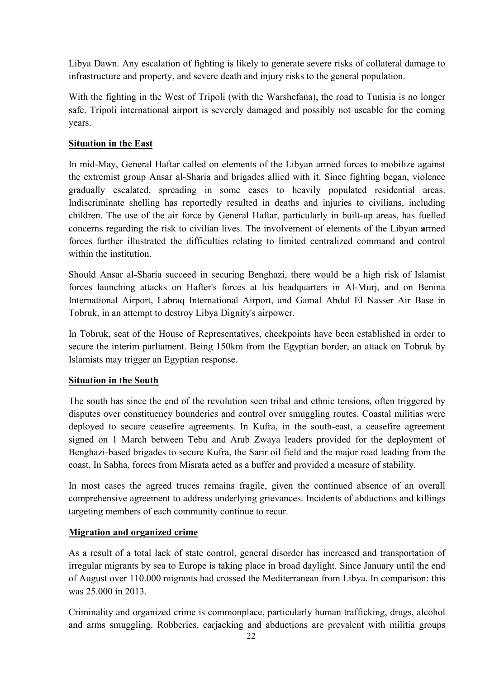Libya Dawn. Any escalation of fighting is likely to generate severe risks of collateral damage to infrastructure and property, and severe death and injury risks to the general population.

With the fighting in the West of Tripoli (with the Warshefana), the road to Tunisia is no longer safe. Tripoli international airport is severely damaged and possibly not useable for the coming years.

### **Situation in the East**

In mid-May, General Haftar called on elements of the Libyan armed forces to mobilize against the extremist group Ansar al-Sharia and brigades allied with it. Since fighting began, violence gradually escalated, spreading in some cases to heavily populated residential areas. Indiscriminate shelling has reportedly resulted in deaths and injuries to civilians, including children. The use of the air force by General Haftar, particularly in built-up areas, has fuelled concerns regarding the risk to civilian lives. The involvement of elements of the Libyan **a**rmed forces further illustrated the difficulties relating to limited centralized command and control within the institution.

Should Ansar al-Sharia succeed in securing Benghazi, there would be a high risk of Islamist forces launching attacks on Hafter's forces at his headquarters in Al-Murj, and on Benina International Airport, Labraq International Airport, and Gamal Abdul El Nasser Air Base in Tobruk, in an attempt to destroy Libya Dignity's airpower.

In Tobruk, seat of the House of Representatives, checkpoints have been established in order to secure the interim parliament. Being 150km from the Egyptian border, an attack on Tobruk by Islamists may trigger an Egyptian response.

### **Situation in the South**

The south has since the end of the revolution seen tribal and ethnic tensions, often triggered by disputes over constituency bounderies and control over smuggling routes. Coastal militias were deployed to secure ceasefire agreements. In Kufra, in the south-east, a ceasefire agreement signed on 1 March between Tebu and Arab Zwaya leaders provided for the deployment of Benghazi-based brigades to secure Kufra, the Sarir oil field and the major road leading from the coast. In Sabha, forces from Misrata acted as a buffer and provided a measure of stability.

In most cases the agreed truces remains fragile, given the continued absence of an overall comprehensive agreement to address underlying grievances. Incidents of abductions and killings targeting members of each community continue to recur.

# **Migration and organized crime**

As a result of a total lack of state control, general disorder has increased and transportation of irregular migrants by sea to Europe is taking place in broad daylight. Since January until the end of August over 110.000 migrants had crossed the Mediterranean from Libya. In comparison: this was 25.000 in 2013.

Criminality and organized crime is commonplace, particularly human trafficking, drugs, alcohol and arms smuggling. Robberies, carjacking and abductions are prevalent with militia groups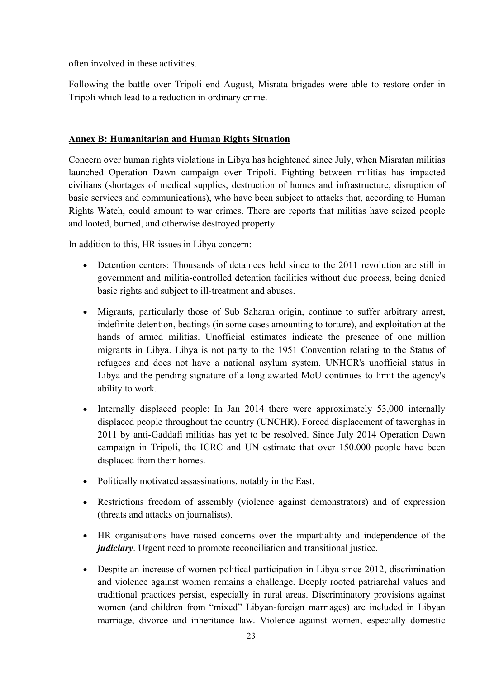often involved in these activities.

Following the battle over Tripoli end August, Misrata brigades were able to restore order in Tripoli which lead to a reduction in ordinary crime.

### **Annex B: Humanitarian and Human Rights Situation**

Concern over human rights violations in Libya has heightened since July, when Misratan militias launched Operation Dawn campaign over Tripoli. Fighting between militias has impacted civilians (shortages of medical supplies, destruction of homes and infrastructure, disruption of basic services and communications), who have been subject to attacks that, according to Human Rights Watch, could amount to war crimes. There are reports that militias have seized people and looted, burned, and otherwise destroyed property.

In addition to this, HR issues in Libya concern:

- Detention centers: Thousands of detainees held since to the 2011 revolution are still in government and militia-controlled detention facilities without due process, being denied basic rights and subject to ill-treatment and abuses.
- Migrants, particularly those of Sub Saharan origin, continue to suffer arbitrary arrest, indefinite detention, beatings (in some cases amounting to torture), and exploitation at the hands of armed militias. Unofficial estimates indicate the presence of one million migrants in Libya. Libya is not party to the 1951 Convention relating to the Status of refugees and does not have a national asylum system. UNHCR's unofficial status in Libya and the pending signature of a long awaited MoU continues to limit the agency's ability to work.
- Internally displaced people: In Jan 2014 there were approximately 53,000 internally displaced people throughout the country (UNCHR). Forced displacement of tawerghas in 2011 by anti-Gaddafi militias has yet to be resolved. Since July 2014 Operation Dawn campaign in Tripoli, the ICRC and UN estimate that over 150.000 people have been displaced from their homes.
- Politically motivated assassinations, notably in the East.
- Restrictions freedom of assembly (violence against demonstrators) and of expression (threats and attacks on journalists).
- HR organisations have raised concerns over the impartiality and independence of the *judiciary*. Urgent need to promote reconciliation and transitional justice.
- Despite an increase of women political participation in Libya since 2012, discrimination and violence against women remains a challenge. Deeply rooted patriarchal values and traditional practices persist, especially in rural areas. Discriminatory provisions against women (and children from "mixed" Libyan-foreign marriages) are included in Libyan marriage, divorce and inheritance law. Violence against women, especially domestic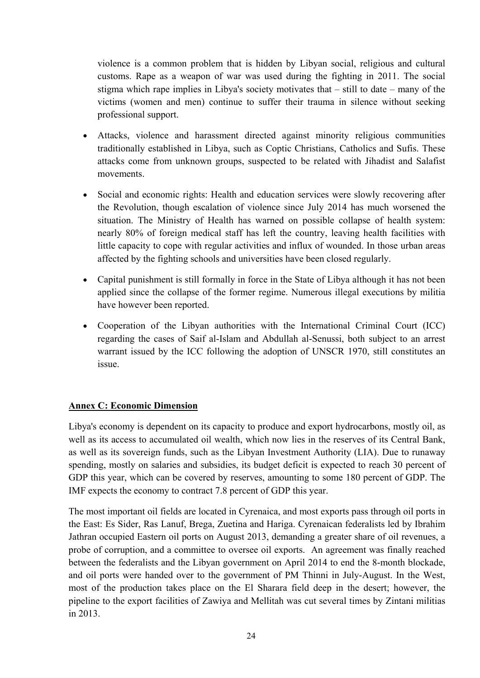violence is a common problem that is hidden by Libyan social, religious and cultural customs. Rape as a weapon of war was used during the fighting in 2011. The social stigma which rape implies in Libya's society motivates that – still to date – many of the victims (women and men) continue to suffer their trauma in silence without seeking professional support.

- Attacks, violence and harassment directed against minority religious communities traditionally established in Libya, such as Coptic Christians, Catholics and Sufis. These attacks come from unknown groups, suspected to be related with Jihadist and Salafist movements.
- Social and economic rights: Health and education services were slowly recovering after the Revolution, though escalation of violence since July 2014 has much worsened the situation. The Ministry of Health has warned on possible collapse of health system: nearly 80% of foreign medical staff has left the country, leaving health facilities with little capacity to cope with regular activities and influx of wounded. In those urban areas affected by the fighting schools and universities have been closed regularly.
- Capital punishment is still formally in force in the State of Libya although it has not been applied since the collapse of the former regime. Numerous illegal executions by militia have however been reported.
- Cooperation of the Libyan authorities with the International Criminal Court (ICC) regarding the cases of Saif al-Islam and Abdullah al-Senussi, both subject to an arrest warrant issued by the ICC following the adoption of UNSCR 1970, still constitutes an issue.

# **Annex C: Economic Dimension**

Libya's economy is dependent on its capacity to produce and export hydrocarbons, mostly oil, as well as its access to accumulated oil wealth, which now lies in the reserves of its Central Bank, as well as its sovereign funds, such as the Libyan Investment Authority (LIA). Due to runaway spending, mostly on salaries and subsidies, its budget deficit is expected to reach 30 percent of GDP this year, which can be covered by reserves, amounting to some 180 percent of GDP. The IMF expects the economy to contract 7.8 percent of GDP this year.

The most important oil fields are located in Cyrenaica, and most exports pass through oil ports in the East: Es Sider, Ras Lanuf, Brega, Zuetina and Hariga. Cyrenaican federalists led by Ibrahim Jathran occupied Eastern oil ports on August 2013, demanding a greater share of oil revenues, a probe of corruption, and a committee to oversee oil exports. An agreement was finally reached between the federalists and the Libyan government on April 2014 to end the 8-month blockade, and oil ports were handed over to the government of PM Thinni in July-August. In the West, most of the production takes place on the El Sharara field deep in the desert; however, the pipeline to the export facilities of Zawiya and Mellitah was cut several times by Zintani militias in 2013.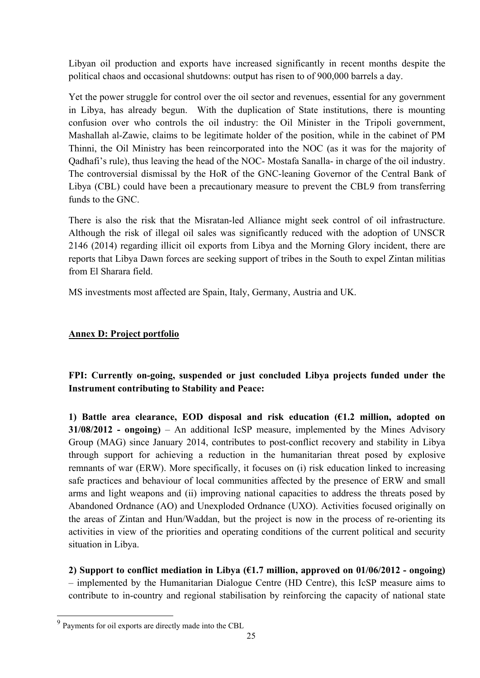Libyan oil production and exports have increased significantly in recent months despite the political chaos and occasional shutdowns: output has risen to of 900,000 barrels a day.

Yet the power struggle for control over the oil sector and revenues, essential for any government in Libya, has already begun. With the duplication of State institutions, there is mounting confusion over who controls the oil industry: the Oil Minister in the Tripoli government, Mashallah al-Zawie, claims to be legitimate holder of the position, while in the cabinet of PM Thinni, the Oil Ministry has been reincorporated into the NOC (as it was for the majority of Qadhafi's rule), thus leaving the head of the NOC- Mostafa Sanalla- in charge of the oil industry. The controversial dismissal by the HoR of the GNC-leaning Governor of the Central Bank of Libya (CBL) could have been a precautionary measure to prevent the CBL[9](#page-25-0) from transferring funds to the GNC.

There is also the risk that the Misratan-led Alliance might seek control of oil infrastructure. Although the risk of illegal oil sales was significantly reduced with the adoption of UNSCR 2146 (2014) regarding illicit oil exports from Libya and the Morning Glory incident, there are reports that Libya Dawn forces are seeking support of tribes in the South to expel Zintan militias from El Sharara field.

MS investments most affected are Spain, Italy, Germany, Austria and UK.

### **Annex D: Project portfolio**

**FPI: Currently on-going, suspended or just concluded Libya projects funded under the Instrument contributing to Stability and Peace:** 

**1) Battle area clearance, EOD disposal and risk education (€1.2 million, adopted on 31/08/2012 - ongoing)** – An additional IcSP measure, implemented by the Mines Advisory Group (MAG) since January 2014, contributes to post-conflict recovery and stability in Libya through support for achieving a reduction in the humanitarian threat posed by explosive remnants of war (ERW). More specifically, it focuses on (i) risk education linked to increasing safe practices and behaviour of local communities affected by the presence of ERW and small arms and light weapons and (ii) improving national capacities to address the threats posed by Abandoned Ordnance (AO) and Unexploded Ordnance (UXO). Activities focused originally on the areas of Zintan and Hun/Waddan, but the project is now in the process of re-orienting its activities in view of the priorities and operating conditions of the current political and security situation in Libya.

**2) Support to conflict mediation in Libya (€1.7 million, approved on 01/06/2012 - ongoing)** – implemented by the Humanitarian Dialogue Centre (HD Centre), this IcSP measure aims to contribute to in-country and regional stabilisation by reinforcing the capacity of national state

 $\overline{a}$ 

<span id="page-25-0"></span> $9$  Payments for oil exports are directly made into the CBL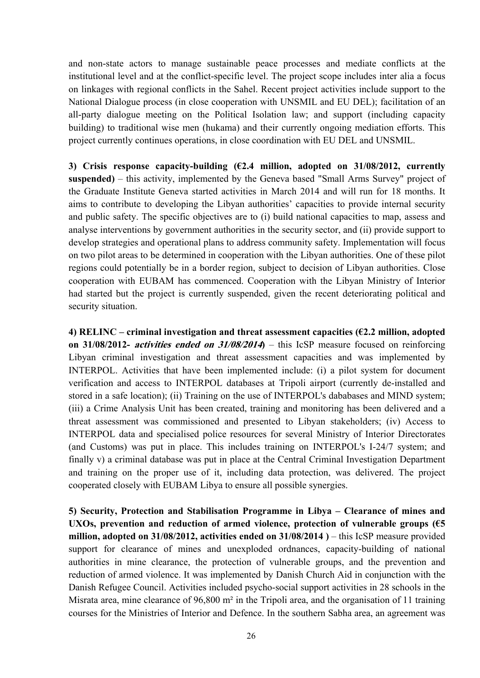and non-state actors to manage sustainable peace processes and mediate conflicts at the institutional level and at the conflict-specific level. The project scope includes inter alia a focus on linkages with regional conflicts in the Sahel. Recent project activities include support to the National Dialogue process (in close cooperation with UNSMIL and EU DEL); facilitation of an all-party dialogue meeting on the Political Isolation law; and support (including capacity building) to traditional wise men (hukama) and their currently ongoing mediation efforts. This project currently continues operations, in close coordination with EU DEL and UNSMIL.

**3) Crisis response capacity-building (€2.4 million, adopted on 31/08/2012, currently suspended)** – this activity, implemented by the Geneva based "Small Arms Survey" project of the Graduate Institute Geneva started activities in March 2014 and will run for 18 months. It aims to contribute to developing the Libyan authorities' capacities to provide internal security and public safety. The specific objectives are to (i) build national capacities to map, assess and analyse interventions by government authorities in the security sector, and (ii) provide support to develop strategies and operational plans to address community safety. Implementation will focus on two pilot areas to be determined in cooperation with the Libyan authorities. One of these pilot regions could potentially be in a border region, subject to decision of Libyan authorities. Close cooperation with EUBAM has commenced. Cooperation with the Libyan Ministry of Interior had started but the project is currently suspended, given the recent deteriorating political and security situation.

**4) RELINC – criminal investigation and threat assessment capacities (€2.2 million, adopted on 31/08/2012- activities ended on 31/08/2014)** – this IcSP measure focused on reinforcing Libyan criminal investigation and threat assessment capacities and was implemented by INTERPOL. Activities that have been implemented include: (i) a pilot system for document verification and access to INTERPOL databases at Tripoli airport (currently de-installed and stored in a safe location); (ii) Training on the use of INTERPOL's dababases and MIND system; (iii) a Crime Analysis Unit has been created, training and monitoring has been delivered and a threat assessment was commissioned and presented to Libyan stakeholders; (iv) Access to INTERPOL data and specialised police resources for several Ministry of Interior Directorates (and Customs) was put in place. This includes training on INTERPOL's I-24/7 system; and finally v) a criminal database was put in place at the Central Criminal Investigation Department and training on the proper use of it, including data protection, was delivered. The project cooperated closely with EUBAM Libya to ensure all possible synergies.

**5) Security, Protection and Stabilisation Programme in Libya – Clearance of mines and UXOs, prevention and reduction of armed violence, protection of vulnerable groups (€5 million, adopted on 31/08/2012, activities ended on 31/08/2014 )** – this IcSP measure provided support for clearance of mines and unexploded ordnances, capacity-building of national authorities in mine clearance, the protection of vulnerable groups, and the prevention and reduction of armed violence. It was implemented by Danish Church Aid in conjunction with the Danish Refugee Council. Activities included psycho-social support activities in 28 schools in the Misrata area, mine clearance of 96,800 m² in the Tripoli area, and the organisation of 11 training courses for the Ministries of Interior and Defence. In the southern Sabha area, an agreement was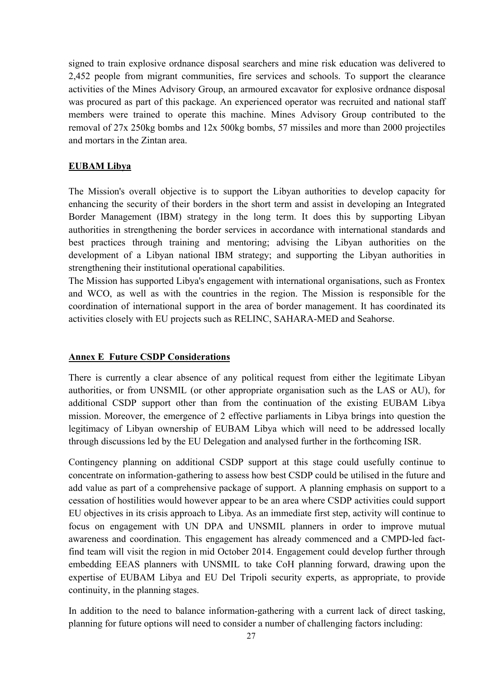signed to train explosive ordnance disposal searchers and mine risk education was delivered to 2,452 people from migrant communities, fire services and schools. To support the clearance activities of the Mines Advisory Group, an armoured excavator for explosive ordnance disposal was procured as part of this package. An experienced operator was recruited and national staff members were trained to operate this machine. Mines Advisory Group contributed to the removal of 27x 250kg bombs and 12x 500kg bombs, 57 missiles and more than 2000 projectiles and mortars in the Zintan area.

### **EUBAM Libya**

The Mission's overall objective is to support the Libyan authorities to develop capacity for enhancing the security of their borders in the short term and assist in developing an Integrated Border Management (IBM) strategy in the long term. It does this by supporting Libyan authorities in strengthening the border services in accordance with international standards and best practices through training and mentoring; advising the Libyan authorities on the development of a Libyan national IBM strategy; and supporting the Libyan authorities in strengthening their institutional operational capabilities.

The Mission has supported Libya's engagement with international organisations, such as Frontex and WCO, as well as with the countries in the region. The Mission is responsible for the coordination of international support in the area of border management. It has coordinated its activities closely with EU projects such as RELINC, SAHARA-MED and Seahorse.

### **Annex E Future CSDP Considerations**

There is currently a clear absence of any political request from either the legitimate Libyan authorities, or from UNSMIL (or other appropriate organisation such as the LAS or AU), for additional CSDP support other than from the continuation of the existing EUBAM Libya mission. Moreover, the emergence of 2 effective parliaments in Libya brings into question the legitimacy of Libyan ownership of EUBAM Libya which will need to be addressed locally through discussions led by the EU Delegation and analysed further in the forthcoming ISR.

Contingency planning on additional CSDP support at this stage could usefully continue to concentrate on information-gathering to assess how best CSDP could be utilised in the future and add value as part of a comprehensive package of support. A planning emphasis on support to a cessation of hostilities would however appear to be an area where CSDP activities could support EU objectives in its crisis approach to Libya. As an immediate first step, activity will continue to focus on engagement with UN DPA and UNSMIL planners in order to improve mutual awareness and coordination. This engagement has already commenced and a CMPD-led factfind team will visit the region in mid October 2014. Engagement could develop further through embedding EEAS planners with UNSMIL to take CoH planning forward, drawing upon the expertise of EUBAM Libya and EU Del Tripoli security experts, as appropriate, to provide continuity, in the planning stages.

In addition to the need to balance information-gathering with a current lack of direct tasking, planning for future options will need to consider a number of challenging factors including: